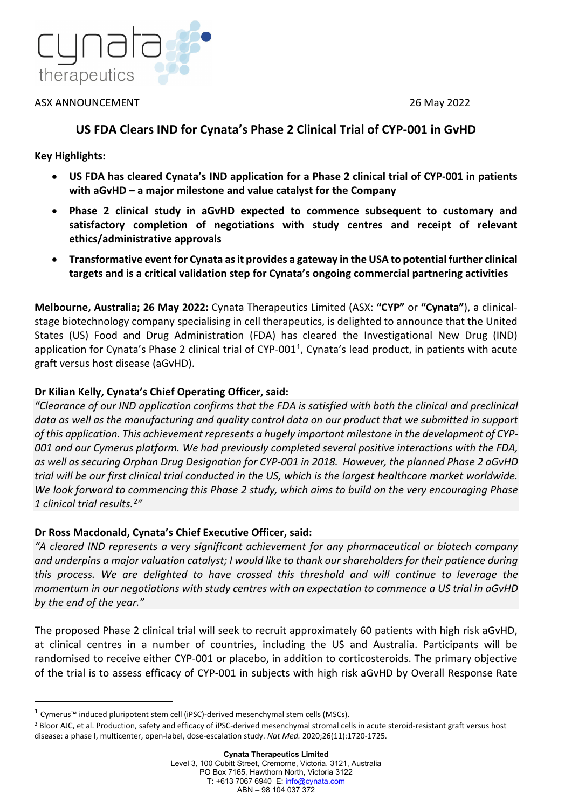

ASX ANNOUNCEMENT 26 May 2022

# **US FDA Clears IND for Cynata's Phase 2 Clinical Trial of CYP-001 in GvHD**

**Key Highlights:**

- **US FDA has cleared Cynata's IND application for a Phase 2 clinical trial of CYP-001 in patients with aGvHD – a major milestone and value catalyst for the Company**
- **Phase 2 clinical study in aGvHD expected to commence subsequent to customary and satisfactory completion of negotiations with study centres and receipt of relevant ethics/administrative approvals**
- **Transformative event for Cynata as it provides a gateway in the USA to potential further clinical targets and is a critical validation step for Cynata's ongoing commercial partnering activities**

**Melbourne, Australia; 26 May 2022:** Cynata Therapeutics Limited (ASX: **"CYP"** or **"Cynata"**), a clinicalstage biotechnology company specialising in cell therapeutics, is delighted to announce that the United States (US) Food and Drug Administration (FDA) has cleared the Investigational New Drug (IND) application for Cynata's Phase 2 clinical trial of CYP-001<sup>1</sup>, Cynata's lead product, in patients with acute graft versus host disease (aGvHD).

## **Dr Kilian Kelly, Cynata's Chief Operating Officer, said:**

*"Clearance of our IND application confirms that the FDA is satisfied with both the clinical and preclinical data as well as the manufacturing and quality control data on our product that we submitted in support of this application. This achievement represents a hugely important milestone in the development of CYP-001 and our Cymerus platform. We had previously completed several positive interactions with the FDA, as well as securing Orphan Drug Designation for CYP-001 in 2018. However, the planned Phase 2 aGvHD trial will be our first clinical trial conducted in the US, which is the largest healthcare market worldwide. We look forward to commencing this Phase 2 study, which aims to build on the very encouraging Phase 1 clinical trial results.[2](#page-0-1)"*

## **Dr Ross Macdonald, Cynata's Chief Executive Officer, said:**

*"A cleared IND represents a very significant achievement for any pharmaceutical or biotech company and underpins a major valuation catalyst; I would like to thank our shareholders for their patience during this process. We are delighted to have crossed this threshold and will continue to leverage the momentum in our negotiations with study centres with an expectation to commence a US trial in aGvHD by the end of the year."*

The proposed Phase 2 clinical trial will seek to recruit approximately 60 patients with high risk aGvHD, at clinical centres in a number of countries, including the US and Australia. Participants will be randomised to receive either CYP-001 or placebo, in addition to corticosteroids. The primary objective of the trial is to assess efficacy of CYP-001 in subjects with high risk aGvHD by Overall Response Rate

<span id="page-0-0"></span><sup>1</sup> Cymerus™ induced pluripotent stem cell (iPSC)-derived mesenchymal stem cells (MSCs).

<span id="page-0-1"></span><sup>&</sup>lt;sup>2</sup> Bloor AJC, et al. Production, safety and efficacy of iPSC-derived mesenchymal stromal cells in acute steroid-resistant graft versus host disease: a phase I, multicenter, open-label, dose-escalation study. *Nat Med.* 2020;26(11):1720-1725.